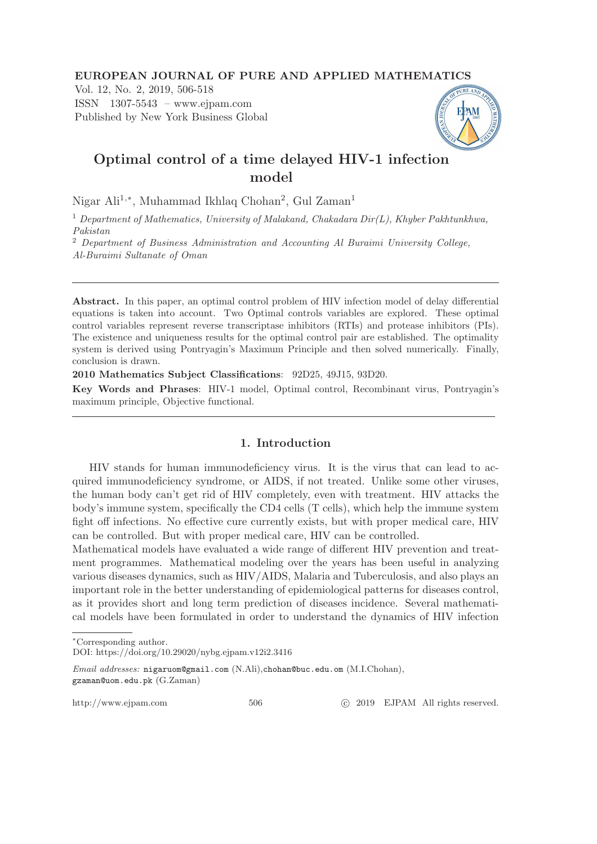#### EUROPEAN JOURNAL OF PURE AND APPLIED MATHEMATICS

Vol. 12, No. 2, 2019, 506-518 ISSN 1307-5543 – www.ejpam.com Published by New York Business Global



# Optimal control of a time delayed HIV-1 infection model

Nigar Ali<sup>1,∗</sup>, Muhammad Ikhlaq Chohan<sup>2</sup>, Gul Zaman<sup>1</sup>

<sup>1</sup> Department of Mathematics, University of Malakand, Chakadara Dir(L), Khyber Pakhtunkhwa, Pakistan

<sup>2</sup> Department of Business Administration and Accounting Al Buraimi University College, Al-Buraimi Sultanate of Oman

Abstract. In this paper, an optimal control problem of HIV infection model of delay differential equations is taken into account. Two Optimal controls variables are explored. These optimal control variables represent reverse transcriptase inhibitors (RTIs) and protease inhibitors (PIs). The existence and uniqueness results for the optimal control pair are established. The optimality system is derived using Pontryagin's Maximum Principle and then solved numerically. Finally, conclusion is drawn.

2010 Mathematics Subject Classifications: 92D25, 49J15, 93D20.

Key Words and Phrases: HIV-1 model, Optimal control, Recombinant virus, Pontryagin's maximum principle, Objective functional.

## 1. Introduction

HIV stands for human immunodeficiency virus. It is the virus that can lead to acquired immunodeficiency syndrome, or AIDS, if not treated. Unlike some other viruses, the human body can't get rid of HIV completely, even with treatment. HIV attacks the body's immune system, specifically the CD4 cells (T cells), which help the immune system fight off infections. No effective cure currently exists, but with proper medical care, HIV can be controlled. But with proper medical care, HIV can be controlled.

Mathematical models have evaluated a wide range of different HIV prevention and treatment programmes. Mathematical modeling over the years has been useful in analyzing various diseases dynamics, such as HIV/AIDS, Malaria and Tuberculosis, and also plays an important role in the better understanding of epidemiological patterns for diseases control, as it provides short and long term prediction of diseases incidence. Several mathematical models have been formulated in order to understand the dynamics of HIV infection

http://www.ejpam.com 506 c 2019 EJPAM All rights reserved.

<sup>∗</sup>Corresponding author.

DOI: https://doi.org/10.29020/nybg.ejpam.v12i2.3416

Email addresses: nigaruom@gmail.com (N.Ali),chohan@buc.edu.om (M.I.Chohan), gzaman@uom.edu.pk (G.Zaman)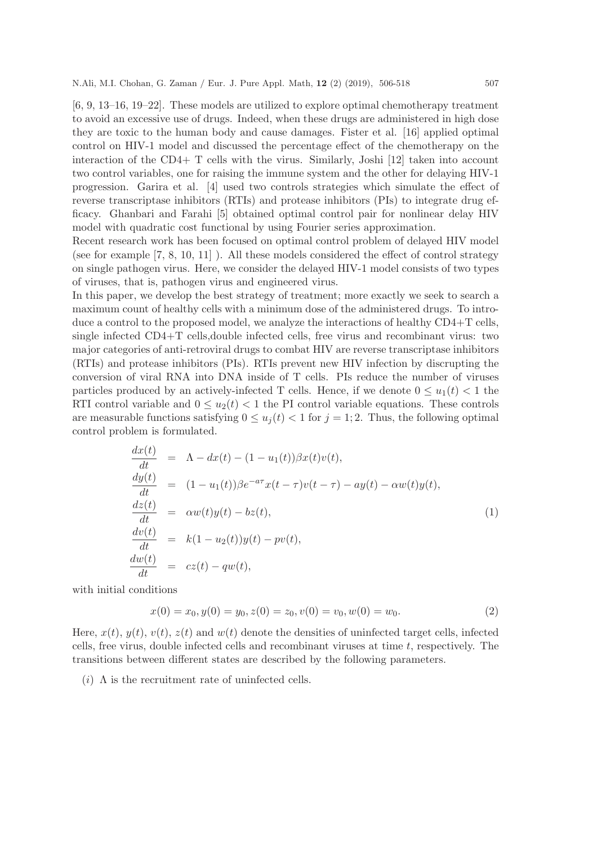[6, 9, 13–16, 19–22]. These models are utilized to explore optimal chemotherapy treatment to avoid an excessive use of drugs. Indeed, when these drugs are administered in high dose they are toxic to the human body and cause damages. Fister et al. [16] applied optimal control on HIV-1 model and discussed the percentage effect of the chemotherapy on the interaction of the CD4+ T cells with the virus. Similarly, Joshi [12] taken into account two control variables, one for raising the immune system and the other for delaying HIV-1 progression. Garira et al. [4] used two controls strategies which simulate the effect of reverse transcriptase inhibitors (RTIs) and protease inhibitors (PIs) to integrate drug efficacy. Ghanbari and Farahi [5] obtained optimal control pair for nonlinear delay HIV model with quadratic cost functional by using Fourier series approximation.

Recent research work has been focused on optimal control problem of delayed HIV model (see for example [7, 8, 10, 11] ). All these models considered the effect of control strategy on single pathogen virus. Here, we consider the delayed HIV-1 model consists of two types of viruses, that is, pathogen virus and engineered virus.

In this paper, we develop the best strategy of treatment; more exactly we seek to search a maximum count of healthy cells with a minimum dose of the administered drugs. To introduce a control to the proposed model, we analyze the interactions of healthy CD4+T cells, single infected CD4+T cells,double infected cells, free virus and recombinant virus: two major categories of anti-retroviral drugs to combat HIV are reverse transcriptase inhibitors (RTIs) and protease inhibitors (PIs). RTIs prevent new HIV infection by discrupting the conversion of viral RNA into DNA inside of T cells. PIs reduce the number of viruses particles produced by an actively-infected T cells. Hence, if we denote  $0 \le u_1(t) < 1$  the RTI control variable and  $0 \le u_2(t) < 1$  the PI control variable equations. These controls are measurable functions satisfying  $0 \le u_i(t) < 1$  for  $j = 1, 2$ . Thus, the following optimal control problem is formulated.

$$
\frac{dx(t)}{dt} = \Lambda - dx(t) - (1 - u_1(t))\beta x(t)v(t),
$$
\n
$$
\frac{dy(t)}{dt} = (1 - u_1(t))\beta e^{-a\tau} x(t - \tau)v(t - \tau) - ay(t) - \alpha w(t)y(t),
$$
\n
$$
\frac{dz(t)}{dt} = \alpha w(t)y(t) - bz(t),
$$
\n
$$
\frac{dv(t)}{dt} = k(1 - u_2(t))y(t) - pv(t),
$$
\n
$$
\frac{dw(t)}{dt} = cz(t) - qw(t),
$$
\n(1)

with initial conditions

$$
x(0) = x_0, y(0) = y_0, z(0) = z_0, v(0) = v_0, w(0) = w_0.
$$
\n<sup>(2)</sup>

Here,  $x(t)$ ,  $y(t)$ ,  $z(t)$  and  $w(t)$  denote the densities of uninfected target cells, infected cells, free virus, double infected cells and recombinant viruses at time  $t$ , respectively. The transitions between different states are described by the following parameters.

(*i*)  $\Lambda$  is the recruitment rate of uninfected cells.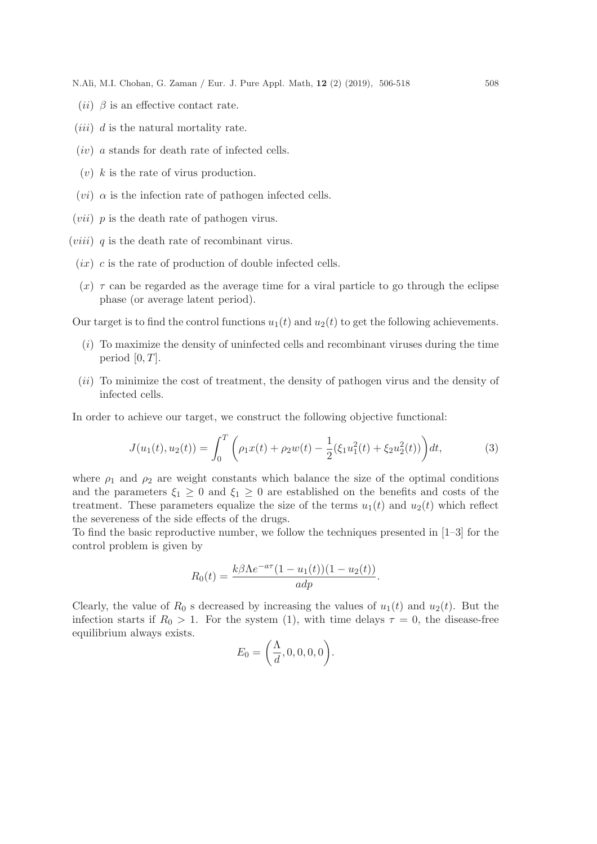N.Ali, M.I. Chohan, G. Zaman / Eur. J. Pure Appl. Math, 12 (2) (2019), 506-518 508

- (*ii*)  $\beta$  is an effective contact rate.
- $(iii)$  d is the natural mortality rate.
- $(iv)$  a stands for death rate of infected cells.
- $(v)$  k is the rate of virus production.
- (*vi*)  $\alpha$  is the infection rate of pathogen infected cells.
- $(vii)$  p is the death rate of pathogen virus.
- $(viii)$  q is the death rate of recombinant virus.
	- $(ix)$  c is the rate of production of double infected cells.
	- $(x)$   $\tau$  can be regarded as the average time for a viral particle to go through the eclipse phase (or average latent period).

Our target is to find the control functions  $u_1(t)$  and  $u_2(t)$  to get the following achievements.

- $(i)$  To maximize the density of uninfected cells and recombinant viruses during the time period  $[0, T]$ .
- (ii) To minimize the cost of treatment, the density of pathogen virus and the density of infected cells.

In order to achieve our target, we construct the following objective functional:

$$
J(u_1(t), u_2(t)) = \int_0^T \left( \rho_1 x(t) + \rho_2 w(t) - \frac{1}{2} (\xi_1 u_1^2(t) + \xi_2 u_2^2(t)) \right) dt,\tag{3}
$$

where  $\rho_1$  and  $\rho_2$  are weight constants which balance the size of the optimal conditions and the parameters  $\xi_1 \geq 0$  and  $\xi_1 \geq 0$  are established on the benefits and costs of the treatment. These parameters equalize the size of the terms  $u_1(t)$  and  $u_2(t)$  which reflect the severeness of the side effects of the drugs.

To find the basic reproductive number, we follow the techniques presented in [1–3] for the control problem is given by

$$
R_0(t) = \frac{k\beta\Lambda e^{-a\tau}(1 - u_1(t))(1 - u_2(t))}{a dp}.
$$

Clearly, the value of  $R_0$  s decreased by increasing the values of  $u_1(t)$  and  $u_2(t)$ . But the infection starts if  $R_0 > 1$ . For the system (1), with time delays  $\tau = 0$ , the disease-free equilibrium always exists.

$$
E_0 = \left(\frac{\Lambda}{d}, 0, 0, 0, 0\right).
$$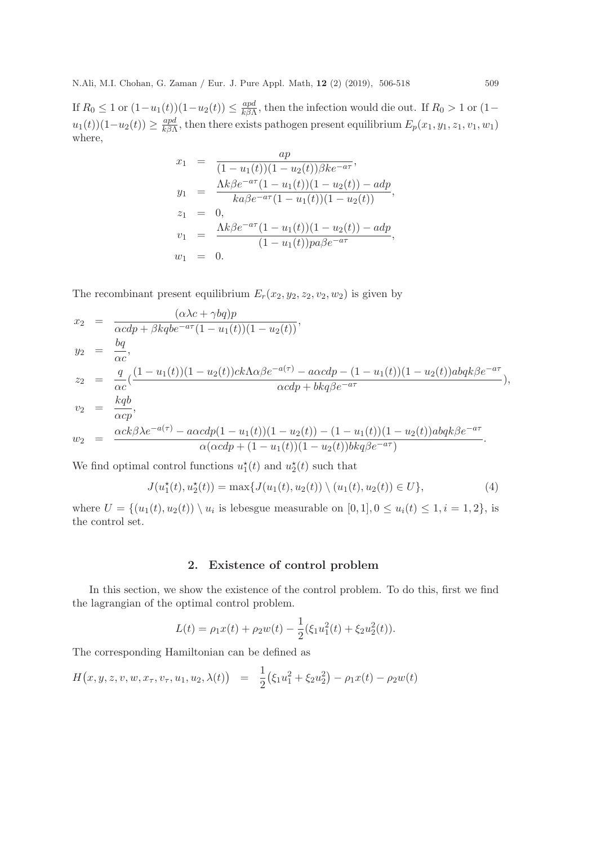If  $R_0 \leq 1$  or  $(1-u_1(t))(1-u_2(t)) \leq \frac{apd}{k\beta\Delta}$  $\frac{apa}{k\beta\Lambda}$ , then the infection would die out. If  $R_0 > 1$  or  $(1-\frac{1}{\lambda})$  $u_1(t)$ ) $(1-u_2(t)) \geq \frac{apd}{k\beta\Lambda}$  $\frac{dp_a}{k\beta\Lambda}$ , then there exists pathogen present equilibrium  $E_p(x_1, y_1, z_1, v_1, w_1)$ where,

$$
x_1 = \frac{ap}{(1 - u_1(t))(1 - u_2(t))\beta k e^{-a\tau}},
$$
  
\n
$$
y_1 = \frac{\Lambda k \beta e^{-a\tau} (1 - u_1(t))(1 - u_2(t)) - adp}{k a \beta e^{-a\tau} (1 - u_1(t))(1 - u_2(t))},
$$
  
\n
$$
z_1 = 0,
$$
  
\n
$$
v_1 = \frac{\Lambda k \beta e^{-a\tau} (1 - u_1(t))(1 - u_2(t)) - adp}{(1 - u_1(t))pa\beta e^{-a\tau}},
$$
  
\n
$$
w_1 = 0.
$$

The recombinant present equilibrium  $E_r(x_2, y_2, z_2, v_2, w_2)$  is given by

$$
x_2 = \frac{(\alpha \lambda c + \gamma bq)p}{\alpha cdp + \beta kqbe^{-a\tau}(1 - u_1(t))(1 - u_2(t))},
$$
  
\n
$$
y_2 = \frac{bq}{\alpha c},
$$
  
\n
$$
z_2 = \frac{q}{\alpha c}(\frac{(1 - u_1(t))(1 - u_2(t))ck\Lambda\alpha\beta e^{-a(\tau)} - a\alpha cdp - (1 - u_1(t))(1 - u_2(t))abqk\beta e^{-a\tau}}{\alpha cdp + bkq\beta e^{-a\tau}},
$$
  
\n
$$
v_2 = \frac{kqb}{\alpha cp},
$$
  
\n
$$
w_2 = \frac{\alpha ck\beta\lambda e^{-a(\tau)} - a\alpha cdp(1 - u_1(t))(1 - u_2(t)) - (1 - u_1(t))(1 - u_2(t))abqk\beta e^{-a\tau}}{\alpha(\alpha cdp + (1 - u_1(t))(1 - u_2(t))bkq\beta e^{-a\tau})}.
$$

We find optimal control functions  $u_1^*(t)$  and  $u_2^*(t)$  such that

$$
J(u_1^*(t), u_2^*(t)) = \max\{J(u_1(t), u_2(t)) \setminus (u_1(t), u_2(t)) \in U\},\tag{4}
$$

where  $U = \{(u_1(t), u_2(t)) \setminus u_i$  is lebesgue measurable on  $[0, 1], 0 \le u_i(t) \le 1, i = 1, 2\}$ , is the control set.

## 2. Existence of control problem

In this section, we show the existence of the control problem. To do this, first we find the lagrangian of the optimal control problem.

$$
L(t) = \rho_1 x(t) + \rho_2 w(t) - \frac{1}{2} (\xi_1 u_1^2(t) + \xi_2 u_2^2(t)).
$$

The corresponding Hamiltonian can be defined as

$$
H(x, y, z, v, w, x_{\tau}, v_{\tau}, u_1, u_2, \lambda(t)) = \frac{1}{2} (\xi_1 u_1^2 + \xi_2 u_2^2) - \rho_1 x(t) - \rho_2 w(t)
$$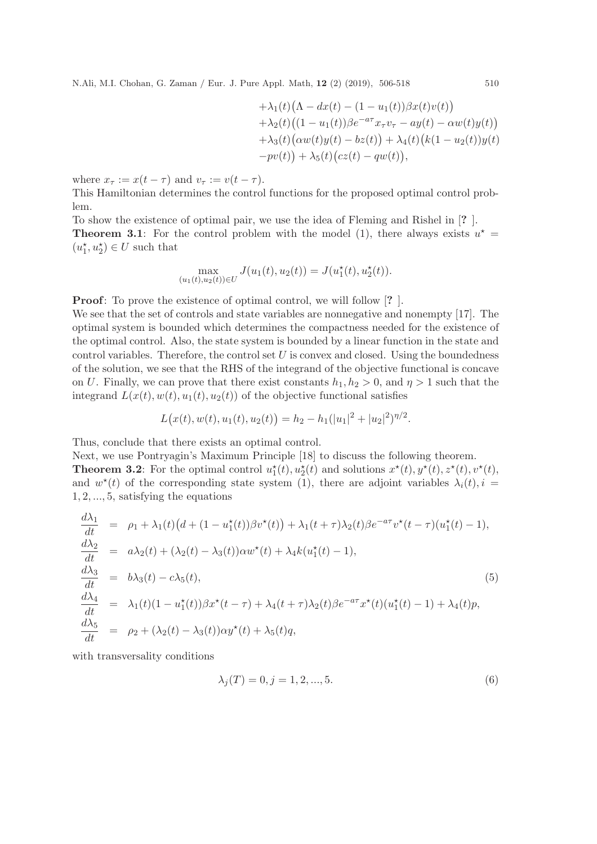N.Ali, M.I. Chohan, G. Zaman / Eur. J. Pure Appl. Math, 12 (2) (2019), 506-518 510

$$
+\lambda_1(t)(\Lambda - dx(t) - (1 - u_1(t))\beta x(t)v(t)) \n+\lambda_2(t)((1 - u_1(t))\beta e^{-a\tau}x_\tau v_\tau - ay(t) - \alpha w(t)y(t)) \n+\lambda_3(t)(\alpha w(t)y(t) - bz(t)) + \lambda_4(t)(k(1 - u_2(t))y(t) \n-pv(t)) + \lambda_5(t)(cz(t) - qw(t)),
$$

where  $x_{\tau} := x(t - \tau)$  and  $v_{\tau} := v(t - \tau)$ .

This Hamiltonian determines the control functions for the proposed optimal control problem.

To show the existence of optimal pair, we use the idea of Fleming and Rishel in [? ]. **Theorem 3.1**: For the control problem with the model (1), there always exists  $u^* =$  $(u_1^\star,u_2^\star)\in U$  such that

$$
\max_{(u_1(t), u_2(t)) \in U} J(u_1(t), u_2(t)) = J(u_1^*(t), u_2^*(t)).
$$

**Proof:** To prove the existence of optimal control, we will follow [?].

We see that the set of controls and state variables are nonnegative and nonempty [17]. The optimal system is bounded which determines the compactness needed for the existence of the optimal control. Also, the state system is bounded by a linear function in the state and control variables. Therefore, the control set  $U$  is convex and closed. Using the boundedness of the solution, we see that the RHS of the integrand of the objective functional is concave on U. Finally, we can prove that there exist constants  $h_1, h_2 > 0$ , and  $\eta > 1$  such that the integrand  $L(x(t), w(t), u_1(t), u_2(t))$  of the objective functional satisfies

$$
L(x(t), w(t), u_1(t), u_2(t)) = h_2 - h_1(|u_1|^2 + |u_2|^2)^{\eta/2}.
$$

Thus, conclude that there exists an optimal control.

Next, we use Pontryagin's Maximum Principle [18] to discuss the following theorem. **Theorem 3.2**: For the optimal control  $u_1^*(t), u_2^*(t)$  and solutions  $x^*(t), y^*(t), z^*(t), v^*(t)$ , and  $w^*(t)$  of the corresponding state system (1), there are adjoint variables  $\lambda_i(t)$ ,  $i =$ 1, 2, ..., 5, satisfying the equations

$$
\frac{d\lambda_1}{dt} = \rho_1 + \lambda_1(t)\left(d + (1 - u_1^*(t))\beta v^*(t)\right) + \lambda_1(t + \tau)\lambda_2(t)\beta e^{-a\tau}v^*(t - \tau)(u_1^*(t) - 1),
$$
\n
$$
\frac{d\lambda_2}{dt} = a\lambda_2(t) + (\lambda_2(t) - \lambda_3(t))\alpha w^*(t) + \lambda_4 k(u_1^*(t) - 1),
$$
\n
$$
\frac{d\lambda_3}{dt} = b\lambda_3(t) - c\lambda_5(t),
$$
\n
$$
\frac{d\lambda_4}{dt} = \lambda_1(t)(1 - u_1^*(t))\beta x^*(t - \tau) + \lambda_4(t + \tau)\lambda_2(t)\beta e^{-a\tau}x^*(t)(u_1^*(t) - 1) + \lambda_4(t)p,
$$
\n
$$
\frac{d\lambda_5}{dt} = \rho_2 + (\lambda_2(t) - \lambda_3(t))\alpha y^*(t) + \lambda_5(t)q,
$$
\n(5)

with transversality conditions

$$
\lambda_j(T) = 0, j = 1, 2, ..., 5.
$$
\n(6)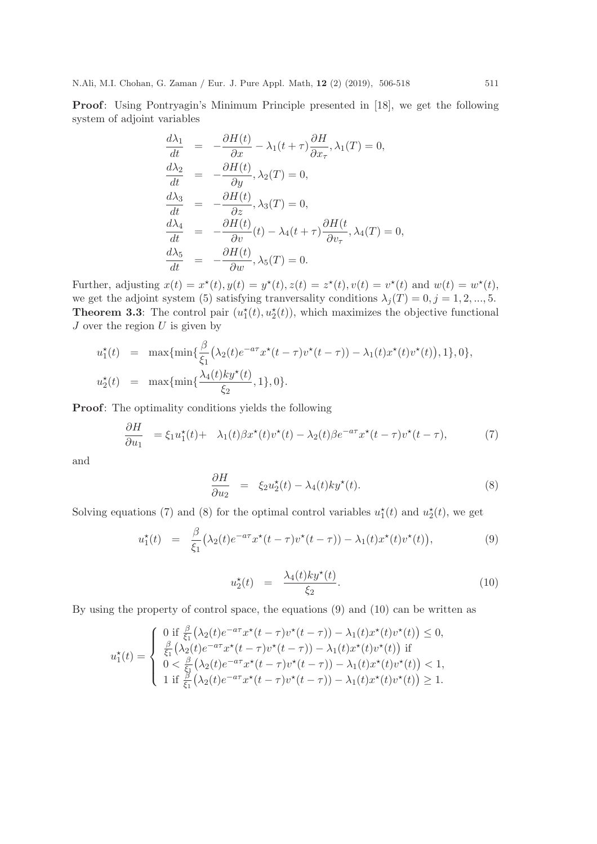Proof: Using Pontryagin's Minimum Principle presented in [18], we get the following system of adjoint variables

$$
\frac{d\lambda_1}{dt} = -\frac{\partial H(t)}{\partial x} - \lambda_1(t + \tau) \frac{\partial H}{\partial x_\tau}, \lambda_1(T) = 0,
$$
\n
$$
\frac{d\lambda_2}{dt} = -\frac{\partial H(t)}{\partial y}, \lambda_2(T) = 0,
$$
\n
$$
\frac{d\lambda_3}{dt} = -\frac{\partial H(t)}{\partial z}, \lambda_3(T) = 0,
$$
\n
$$
\frac{d\lambda_4}{dt} = -\frac{\partial H(t)}{\partial v}(t) - \lambda_4(t + \tau) \frac{\partial H(t)}{\partial v_\tau}, \lambda_4(T) = 0,
$$
\n
$$
\frac{d\lambda_5}{dt} = -\frac{\partial H(t)}{\partial w}, \lambda_5(T) = 0.
$$

Further, adjusting  $x(t) = x^*(t), y(t) = y^*(t), z(t) = z^*(t), v(t) = v^*(t)$  and  $w(t) = w^*(t)$ , we get the adjoint system (5) satisfying tranversality conditions  $\lambda_j(T) = 0, j = 1, 2, ..., 5$ . **Theorem 3.3**: The control pair  $(u_1^*(t), u_2^*(t))$ , which maximizes the objective functional  ${\cal J}$  over the region  ${\cal U}$  is given by

$$
u_1^*(t) = \max\{\min\{\frac{\beta}{\xi_1}(\lambda_2(t)e^{-a\tau}x^*(t-\tau)v^*(t-\tau)) - \lambda_1(t)x^*(t)v^*(t)\}, 1\}, 0\},\
$$
  

$$
u_2^*(t) = \max\{\min\{\frac{\lambda_4(t)ky^*(t)}{\xi_2}, 1\}, 0\}.
$$

Proof: The optimality conditions yields the following

$$
\frac{\partial H}{\partial u_1} = \xi_1 u_1^*(t) + \lambda_1(t) \beta x^*(t) v^*(t) - \lambda_2(t) \beta e^{-a\tau} x^*(t-\tau) v^*(t-\tau),\tag{7}
$$

and

$$
\frac{\partial H}{\partial u_2} = \xi_2 u_2^*(t) - \lambda_4(t) k y^*(t). \tag{8}
$$

Solving equations (7) and (8) for the optimal control variables  $u_1^*(t)$  and  $u_2^*(t)$ , we get

$$
u_1^{\star}(t) = \frac{\beta}{\xi_1} \big( \lambda_2(t) e^{-a\tau} x^{\star}(t-\tau) v^{\star}(t-\tau) \big) - \lambda_1(t) x^{\star}(t) v^{\star}(t) \big), \tag{9}
$$

$$
u_2^{\star}(t) = \frac{\lambda_4(t)ky^{\star}(t)}{\xi_2}.
$$
\n(10)

By using the property of control space, the equations (9) and (10) can be written as

$$
u_1^{\star}(t) = \begin{cases} 0 \text{ if } \frac{\beta}{\xi_1}(\lambda_2(t)e^{-a\tau}x^{\star}(t-\tau)v^{\star}(t-\tau)) - \lambda_1(t)x^{\star}(t)v^{\star}(t)) \leq 0, \\ \frac{\beta}{\xi_1}(\lambda_2(t)e^{-a\tau}x^{\star}(t-\tau)v^{\star}(t-\tau)) - \lambda_1(t)x^{\star}(t)v^{\star}(t)) \text{ if } \\ 0 < \frac{\beta}{\xi_1}(\lambda_2(t)e^{-a\tau}x^{\star}(t-\tau)v^{\star}(t-\tau)) - \lambda_1(t)x^{\star}(t)v^{\star}(t)) < 1, \\ 1 \text{ if } \frac{\beta}{\xi_1}(\lambda_2(t)e^{-a\tau}x^{\star}(t-\tau)v^{\star}(t-\tau)) - \lambda_1(t)x^{\star}(t)v^{\star}(t)) \geq 1. \end{cases}
$$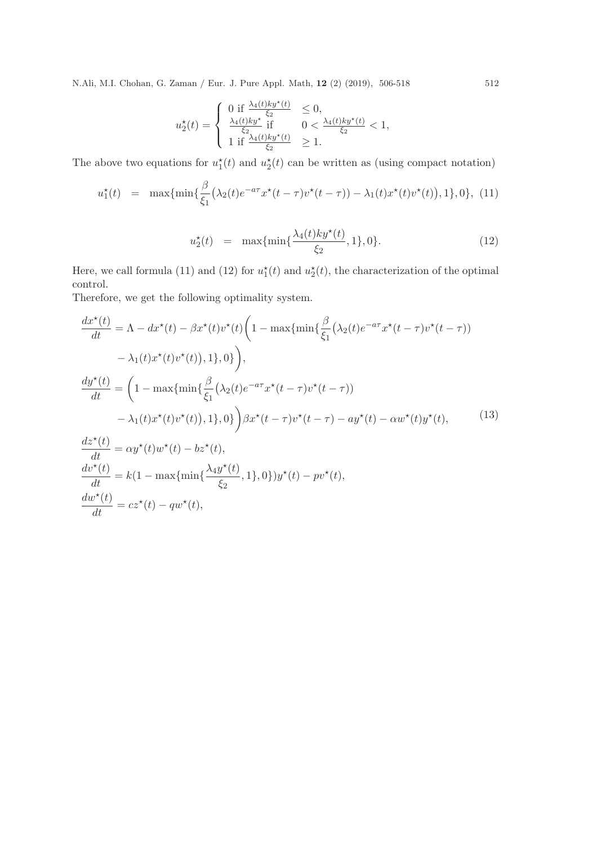N.Ali, M.I. Chohan, G. Zaman / Eur. J. Pure Appl. Math, 12 (2) (2019), 506-518 512

$$
u_2^{\star}(t) = \begin{cases} 0 \text{ if } \frac{\lambda_4(t)ky^{\star}(t)}{\xi_2} & \leq 0, \\ \frac{\lambda_4(t)ky^{\star}}{\xi_2} \text{ if } & 0 < \frac{\lambda_4(t)ky^{\star}(t)}{\xi_2} < 1, \\ 1 \text{ if } \frac{\lambda_4(t)ky^{\star}(t)}{\xi_2} & \geq 1. \end{cases}
$$

The above two equations for  $u_1^*(t)$  and  $u_2^*(t)$  can be written as (using compact notation)

$$
u_1^{\star}(t) = \max\{\min\{\frac{\beta}{\xi_1}(\lambda_2(t)e^{-a\tau}x^{\star}(t-\tau)v^{\star}(t-\tau)) - \lambda_1(t)x^{\star}(t)v^{\star}(t)\}, 1\}, 0\}, (11)
$$

$$
u_2^{\star}(t) = \max\{\min\{\frac{\lambda_4(t)ky^{\star}(t)}{\xi_2}, 1\}, 0\}.
$$
 (12)

Here, we call formula (11) and (12) for  $u_1^*(t)$  and  $u_2^*(t)$ , the characterization of the optimal control.

Therefore, we get the following optimality system.

$$
\frac{dx^*(t)}{dt} = \Lambda - dx^*(t) - \beta x^*(t)v^*(t) \left( 1 - \max\{\min\{\frac{\beta}{\xi_1}(\lambda_2(t)e^{-a\tau}x^*(t-\tau)v^*(t-\tau))\} - \lambda_1(t)x^*(t)v^*(t)\}, 1\}, 0 \right),
$$
\n
$$
\frac{dy^*(t)}{dt} = \left( 1 - \max\{\min\{\frac{\beta}{\xi_1}(\lambda_2(t)e^{-a\tau}x^*(t-\tau)v^*(t-\tau))\} - \lambda_1(t)x^*(t)v^*(t)\}, 1\}, 0 \right) \beta x^*(t-\tau)v^*(t-\tau) - ay^*(t) - \alpha w^*(t)y^*(t),
$$
\n
$$
\frac{dz^*(t)}{dt} = \alpha y^*(t)w^*(t) - bz^*(t),
$$
\n
$$
\frac{dv^*(t)}{dt} = k(1 - \max\{\min\{\frac{\lambda_4 y^*(t)}{\xi_2}, 1\}, 0\})y^*(t) - pv^*(t),
$$
\n
$$
\frac{dw^*(t)}{dt} = cz^*(t) - qw^*(t),
$$
\n(13)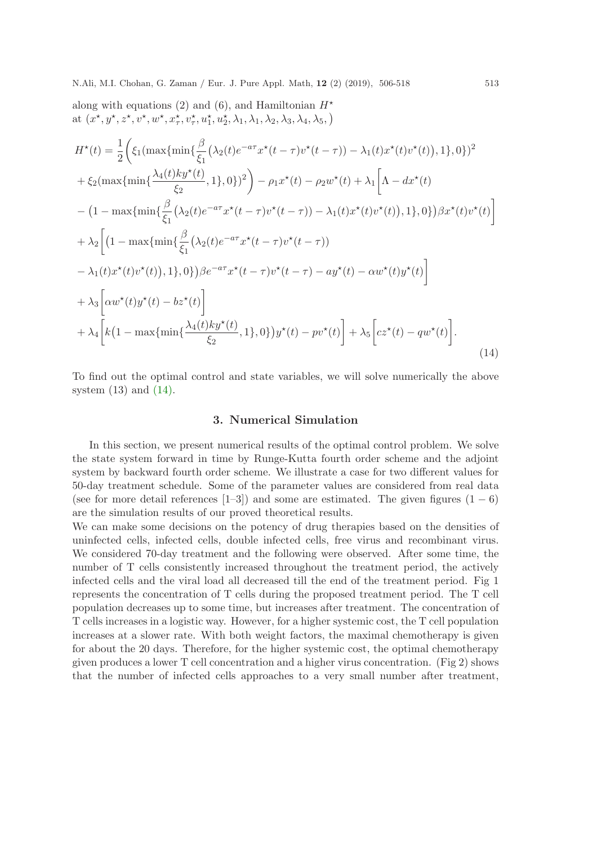along with equations (2) and (6), and Hamiltonian 
$$
H^*
$$
  
\nat  $(x^*, y^*, z^*, v^*, w^*, x_\tau^*, v_\tau^*, u_1^*, u_2^*, \lambda_1, \lambda_1, \lambda_2, \lambda_3, \lambda_4, \lambda_5)$   
\n
$$
H^*(t) = \frac{1}{2} \Big( \xi_1(\max\{\min\{\frac{\beta}{\xi_1}(\lambda_2(t)e^{-a\tau}x^*(t-\tau)v^*(t-\tau)) - \lambda_1(t)x^*(t)v^*(t)\}, 1\}, 0\})^2 + \xi_2(\max\{\min\{\frac{\lambda_4(t)ky^*(t)}{\xi_2}, 1\}, 0\})^2 \Big) - \rho_1x^*(t) - \rho_2w^*(t) + \lambda_1 \Big[ \Lambda - dx^*(t) - (1 - \max\{\min\{\frac{\beta}{\xi_1}(\lambda_2(t)e^{-a\tau}x^*(t-\tau)v^*(t-\tau)) - \lambda_1(t)x^*(t)v^*(t)\}, 1\}, 0\})\beta x^*(t)v^*(t) \Big]
$$
\n
$$
+ \lambda_2 \Big[ (1 - \max\{\min\{\frac{\beta}{\xi_1}(\lambda_2(t)e^{-a\tau}x^*(t-\tau)v^*(t-\tau)) - \lambda_1(t)x^*(t)v^*(t)\} - \lambda_1(t)x^*(t)v^*(t)\}, 1\}, 0\})\beta e^{-a\tau}x^*(t-\tau)v^*(t-\tau) - ay^*(t) - \alpha w^*(t)y^*(t) \Big]
$$
\n
$$
+ \lambda_3 \Big[ \alpha w^*(t)y^*(t) - bz^*(t) \Big]
$$
\n
$$
+ \lambda_4 \Big[ k(1 - \max\{\min\{\frac{\lambda_4(t)ky^*(t)}{\xi_2}, 1\}, 0\})y^*(t) - pv^*(t) \Big] + \lambda_5 \Big[ cz^*(t) - qw^*(t) \Big].
$$
\n(14)

To find out the optimal control and state variables, we will solve numerically the above system  $(13)$  and  $(14)$ .

## 3. Numerical Simulation

In this section, we present numerical results of the optimal control problem. We solve the state system forward in time by Runge-Kutta fourth order scheme and the adjoint system by backward fourth order scheme. We illustrate a case for two different values for 50-day treatment schedule. Some of the parameter values are considered from real data (see for more detail references [1–3]) and some are estimated. The given figures  $(1-6)$ are the simulation results of our proved theoretical results.

We can make some decisions on the potency of drug therapies based on the densities of uninfected cells, infected cells, double infected cells, free virus and recombinant virus. We considered 70-day treatment and the following were observed. After some time, the number of T cells consistently increased throughout the treatment period, the actively infected cells and the viral load all decreased till the end of the treatment period. Fig 1 represents the concentration of T cells during the proposed treatment period. The T cell population decreases up to some time, but increases after treatment. The concentration of T cells increases in a logistic way. However, for a higher systemic cost, the T cell population increases at a slower rate. With both weight factors, the maximal chemotherapy is given for about the 20 days. Therefore, for the higher systemic cost, the optimal chemotherapy given produces a lower T cell concentration and a higher virus concentration. (Fig 2) shows that the number of infected cells approaches to a very small number after treatment,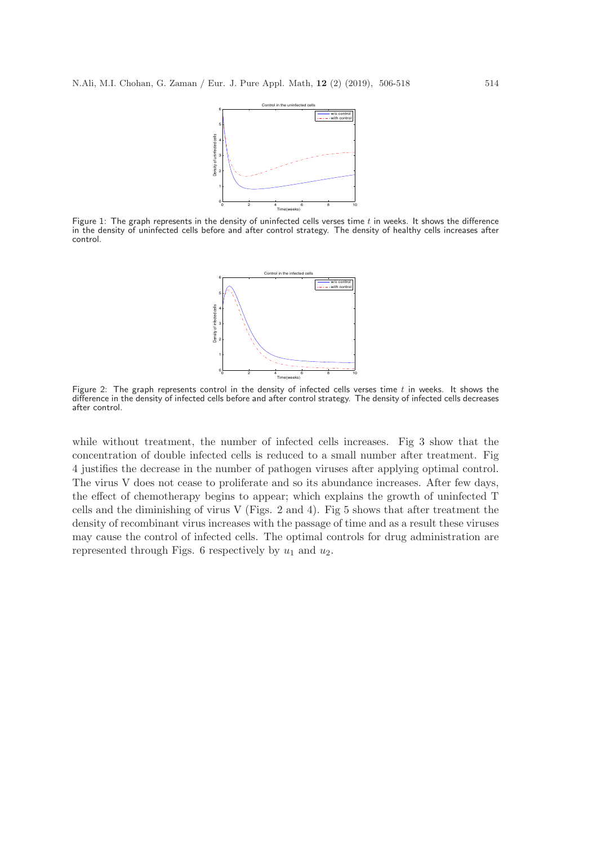

Figure 1: The graph represents in the density of uninfected cells verses time  $t$  in weeks. It shows the difference in the density of uninfected cells before and after control strategy. The density of healthy cells increases after control.



Figure 2: The graph represents control in the density of infected cells verses time  $t$  in weeks. It shows the difference in the density of infected cells before and after control strategy. The density of infected cells decreases after control.

while without treatment, the number of infected cells increases. Fig 3 show that the concentration of double infected cells is reduced to a small number after treatment. Fig 4 justifies the decrease in the number of pathogen viruses after applying optimal control. The virus V does not cease to proliferate and so its abundance increases. After few days, the effect of chemotherapy begins to appear; which explains the growth of uninfected T cells and the diminishing of virus V (Figs. 2 and 4). Fig 5 shows that after treatment the density of recombinant virus increases with the passage of time and as a result these viruses may cause the control of infected cells. The optimal controls for drug administration are represented through Figs. 6 respectively by  $u_1$  and  $u_2$ .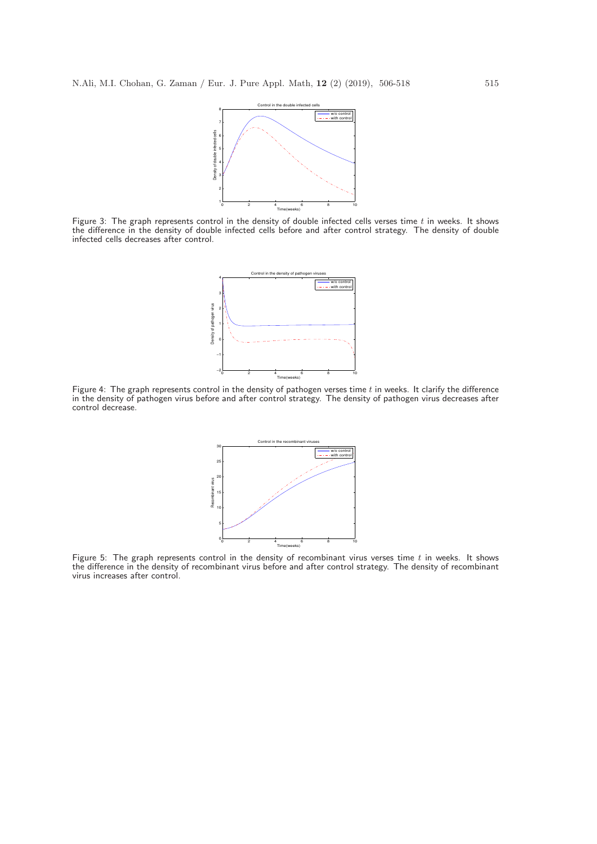

Figure 3: The graph represents control in the density of double infected cells verses time  $t$  in weeks. It shows the difference in the density of double infected cells before and after control strategy. The density of double infected cells decreases after control.



Figure 4: The graph represents control in the density of pathogen verses time  $t$  in weeks. It clarify the difference in the density of pathogen virus before and after control strategy. The density of pathogen virus decreases after control decrease.



Figure 5: The graph represents control in the density of recombinant virus verses time  $t$  in weeks. It shows the difference in the density of recombinant virus before and after control strategy. The density of recombinant virus increases after control.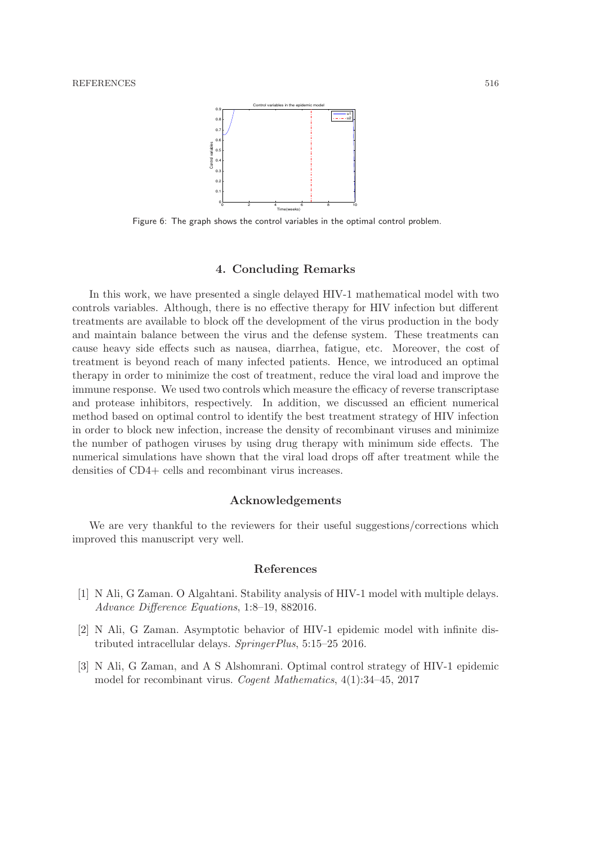

Figure 6: The graph shows the control variables in the optimal control problem.

#### 4. Concluding Remarks

In this work, we have presented a single delayed HIV-1 mathematical model with two controls variables. Although, there is no effective therapy for HIV infection but different treatments are available to block off the development of the virus production in the body and maintain balance between the virus and the defense system. These treatments can cause heavy side effects such as nausea, diarrhea, fatigue, etc. Moreover, the cost of treatment is beyond reach of many infected patients. Hence, we introduced an optimal therapy in order to minimize the cost of treatment, reduce the viral load and improve the immune response. We used two controls which measure the efficacy of reverse transcriptase and protease inhibitors, respectively. In addition, we discussed an efficient numerical method based on optimal control to identify the best treatment strategy of HIV infection in order to block new infection, increase the density of recombinant viruses and minimize the number of pathogen viruses by using drug therapy with minimum side effects. The numerical simulations have shown that the viral load drops off after treatment while the densities of CD4+ cells and recombinant virus increases.

## Acknowledgements

We are very thankful to the reviewers for their useful suggestions/corrections which improved this manuscript very well.

#### References

- [1] N Ali, G Zaman. O Algahtani. Stability analysis of HIV-1 model with multiple delays. Advance Difference Equations, 1:8–19, 882016.
- [2] N Ali, G Zaman. Asymptotic behavior of HIV-1 epidemic model with infinite distributed intracellular delays. SpringerPlus, 5:15–25 2016.
- [3] N Ali, G Zaman, and A S Alshomrani. Optimal control strategy of HIV-1 epidemic model for recombinant virus. Cogent Mathematics, 4(1):34–45, 2017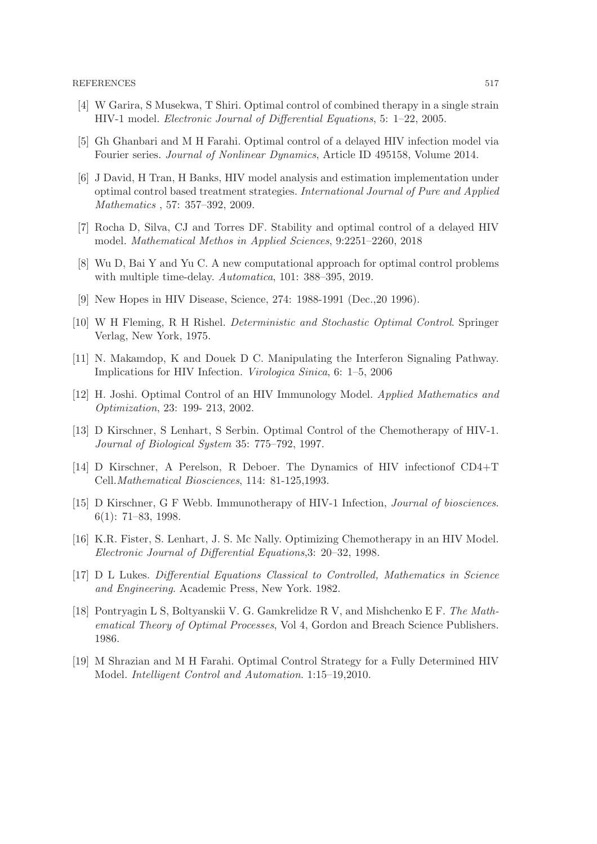- [4] W Garira, S Musekwa, T Shiri. Optimal control of combined therapy in a single strain HIV-1 model. Electronic Journal of Differential Equations, 5: 1–22, 2005.
- [5] Gh Ghanbari and M H Farahi. Optimal control of a delayed HIV infection model via Fourier series. Journal of Nonlinear Dynamics, Article ID 495158, Volume 2014.
- [6] J David, H Tran, H Banks, HIV model analysis and estimation implementation under optimal control based treatment strategies. International Journal of Pure and Applied Mathematics , 57: 357–392, 2009.
- [7] Rocha D, Silva, CJ and Torres DF. Stability and optimal control of a delayed HIV model. Mathematical Methos in Applied Sciences, 9:2251–2260, 2018
- [8] Wu D, Bai Y and Yu C. A new computational approach for optimal control problems with multiple time-delay. Automatica, 101: 388–395, 2019.
- [9] New Hopes in HIV Disease, Science, 274: 1988-1991 (Dec.,20 1996).
- [10] W H Fleming, R H Rishel. Deterministic and Stochastic Optimal Control. Springer Verlag, New York, 1975.
- [11] N. Makamdop, K and Douek D C. Manipulating the Interferon Signaling Pathway. Implications for HIV Infection. Virologica Sinica, 6: 1–5, 2006
- [12] H. Joshi. Optimal Control of an HIV Immunology Model. Applied Mathematics and Optimization, 23: 199- 213, 2002.
- [13] D Kirschner, S Lenhart, S Serbin. Optimal Control of the Chemotherapy of HIV-1. Journal of Biological System 35: 775–792, 1997.
- [14] D Kirschner, A Perelson, R Deboer. The Dynamics of HIV infectionof CD4+T Cell.Mathematical Biosciences, 114: 81-125,1993.
- [15] D Kirschner, G F Webb. Immunotherapy of HIV-1 Infection, Journal of biosciences. 6(1): 71–83, 1998.
- [16] K.R. Fister, S. Lenhart, J. S. Mc Nally. Optimizing Chemotherapy in an HIV Model. Electronic Journal of Differential Equations,3: 20–32, 1998.
- [17] D L Lukes. Differential Equations Classical to Controlled, Mathematics in Science and Engineering. Academic Press, New York. 1982.
- [18] Pontryagin L S, Boltyanskii V. G. Gamkrelidze R V, and Mishchenko E F. The Mathematical Theory of Optimal Processes, Vol 4, Gordon and Breach Science Publishers. 1986.
- [19] M Shrazian and M H Farahi. Optimal Control Strategy for a Fully Determined HIV Model. Intelligent Control and Automation. 1:15–19,2010.